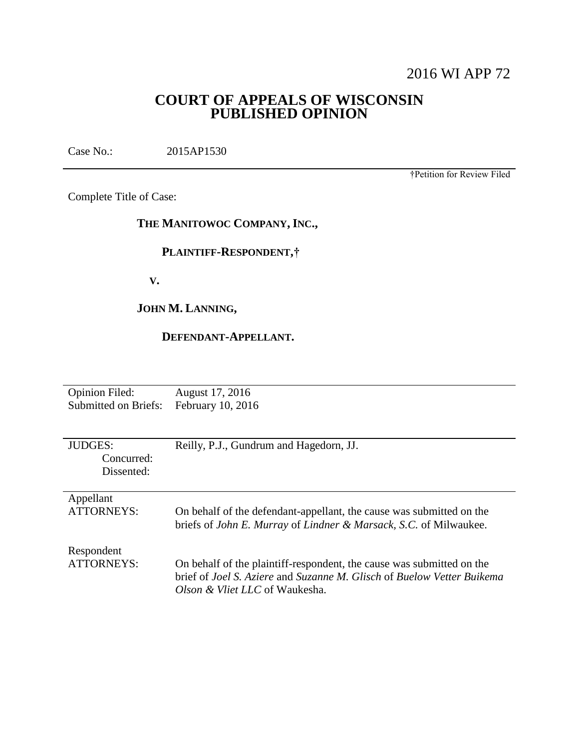# 2016 WI APP 72

# **COURT OF APPEALS OF WISCONSIN PUBLISHED OPINION**

Case No.: 2015AP1530

†Petition for Review Filed

Complete Title of Case:

## **THE MANITOWOC COMPANY, INC.,**

# **PLAINTIFF-RESPONDENT,†**

 **V.**

# **JOHN M. LANNING,**

## **DEFENDANT-APPELLANT.**

| <b>Opinion Filed:</b>                      | August 17, 2016                                                                                                                                                                              |
|--------------------------------------------|----------------------------------------------------------------------------------------------------------------------------------------------------------------------------------------------|
| Submitted on Briefs:                       | February 10, 2016                                                                                                                                                                            |
| <b>JUDGES:</b><br>Concurred:<br>Dissented: | Reilly, P.J., Gundrum and Hagedorn, JJ.                                                                                                                                                      |
| Appellant                                  | On behalf of the defendant-appellant, the cause was submitted on the                                                                                                                         |
| <b>ATTORNEYS:</b>                          | briefs of <i>John E. Murray</i> of <i>Lindner &amp; Marsack</i> , <i>S.C.</i> of Milwaukee.                                                                                                  |
| Respondent<br>ATTORNEYS:                   | On behalf of the plaintiff-respondent, the cause was submitted on the<br>brief of Joel S. Aziere and Suzanne M. Glisch of Buelow Vetter Buikema<br><i>Olson &amp; Vliet LLC</i> of Waukesha. |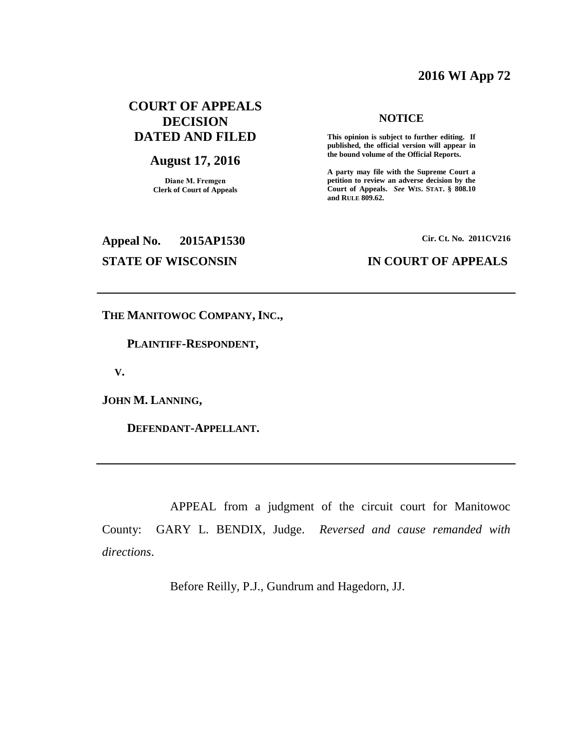## **2016 WI App 72**

## **COURT OF APPEALS DECISION DATED AND FILED**

## **August 17, 2016**

**Diane M. Fremgen Clerk of Court of Appeals**

#### **NOTICE**

**This opinion is subject to further editing. If published, the official version will appear in the bound volume of the Official Reports.** 

**A party may file with the Supreme Court a petition to review an adverse decision by the Court of Appeals.** *See* **WIS. STAT. § 808.10 and RULE 809.62.** 

# **Appeal No. 2015AP1530 Cir. Ct. No. 2011CV216 STATE OF WISCONSIN IN COURT OF APPEALS**

**THE MANITOWOC COMPANY, INC.,**

 **PLAINTIFF-RESPONDENT,**

 **V.**

**JOHN M. LANNING,**

 **DEFENDANT-APPELLANT.**

APPEAL from a judgment of the circuit court for Manitowoc County: GARY L. BENDIX, Judge. *Reversed and cause remanded with directions*.

Before Reilly, P.J., Gundrum and Hagedorn, JJ.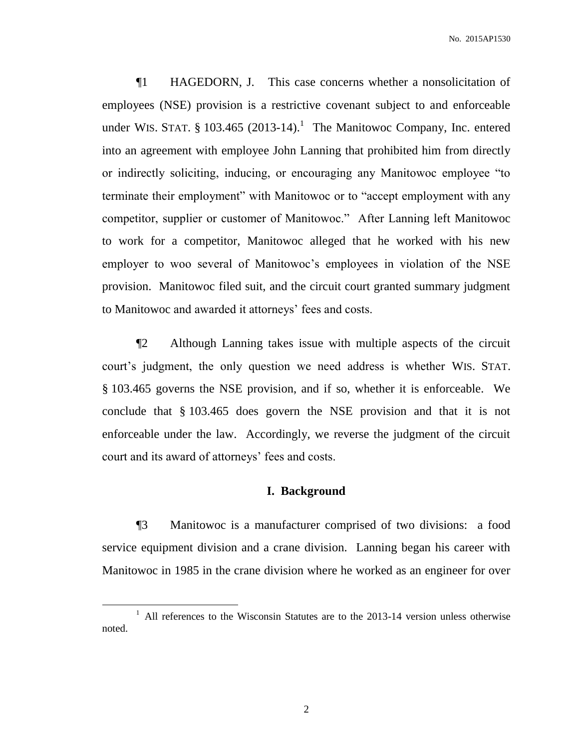¶1 HAGEDORN, J. This case concerns whether a nonsolicitation of employees (NSE) provision is a restrictive covenant subject to and enforceable under WIS. STAT. § 103.465 (2013-14).<sup>1</sup> The Manitowoc Company, Inc. entered into an agreement with employee John Lanning that prohibited him from directly or indirectly soliciting, inducing, or encouraging any Manitowoc employee "to terminate their employment" with Manitowoc or to "accept employment with any competitor, supplier or customer of Manitowoc." After Lanning left Manitowoc to work for a competitor, Manitowoc alleged that he worked with his new employer to woo several of Manitowoc's employees in violation of the NSE provision. Manitowoc filed suit, and the circuit court granted summary judgment to Manitowoc and awarded it attorneys' fees and costs.

¶2 Although Lanning takes issue with multiple aspects of the circuit court's judgment, the only question we need address is whether WIS. STAT. § 103.465 governs the NSE provision, and if so, whether it is enforceable. We conclude that § 103.465 does govern the NSE provision and that it is not enforceable under the law. Accordingly, we reverse the judgment of the circuit court and its award of attorneys' fees and costs.

## **I. Background**

¶3 Manitowoc is a manufacturer comprised of two divisions: a food service equipment division and a crane division. Lanning began his career with Manitowoc in 1985 in the crane division where he worked as an engineer for over

<sup>&</sup>lt;sup>1</sup> All references to the Wisconsin Statutes are to the 2013-14 version unless otherwise noted.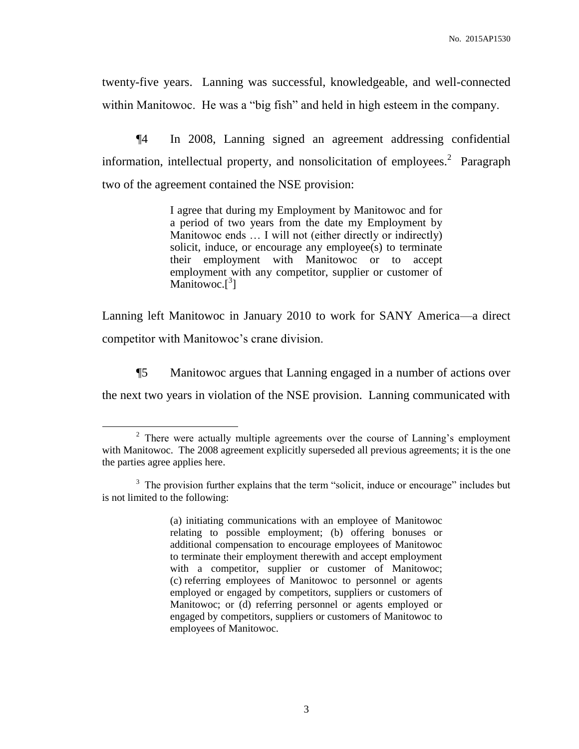twenty-five years. Lanning was successful, knowledgeable, and well-connected within Manitowoc. He was a "big fish" and held in high esteem in the company.

¶4 In 2008, Lanning signed an agreement addressing confidential information, intellectual property, and nonsolicitation of employees.<sup>2</sup> Paragraph two of the agreement contained the NSE provision:

> I agree that during my Employment by Manitowoc and for a period of two years from the date my Employment by Manitowoc ends … I will not (either directly or indirectly) solicit, induce, or encourage any employee(s) to terminate their employment with Manitowoc or to accept employment with any competitor, supplier or customer of Manitowoc. $[$ <sup>3</sup>]

Lanning left Manitowoc in January 2010 to work for SANY America—a direct competitor with Manitowoc's crane division.

¶5 Manitowoc argues that Lanning engaged in a number of actions over

the next two years in violation of the NSE provision. Lanning communicated with

 $\overline{a}$ 

(a) initiating communications with an employee of Manitowoc relating to possible employment; (b) offering bonuses or additional compensation to encourage employees of Manitowoc to terminate their employment therewith and accept employment with a competitor, supplier or customer of Manitowoc; (c) referring employees of Manitowoc to personnel or agents employed or engaged by competitors, suppliers or customers of Manitowoc; or (d) referring personnel or agents employed or engaged by competitors, suppliers or customers of Manitowoc to employees of Manitowoc.

 $2$  There were actually multiple agreements over the course of Lanning's employment with Manitowoc. The 2008 agreement explicitly superseded all previous agreements; it is the one the parties agree applies here.

<sup>&</sup>lt;sup>3</sup> The provision further explains that the term "solicit, induce or encourage" includes but is not limited to the following: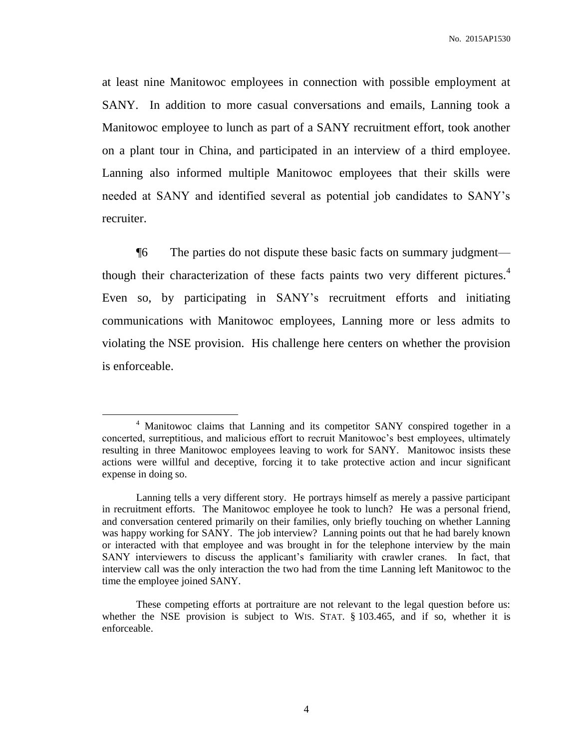at least nine Manitowoc employees in connection with possible employment at SANY. In addition to more casual conversations and emails, Lanning took a Manitowoc employee to lunch as part of a SANY recruitment effort, took another on a plant tour in China, and participated in an interview of a third employee. Lanning also informed multiple Manitowoc employees that their skills were needed at SANY and identified several as potential job candidates to SANY's recruiter.

¶6 The parties do not dispute these basic facts on summary judgment though their characterization of these facts paints two very different pictures.<sup>4</sup> Even so, by participating in SANY's recruitment efforts and initiating communications with Manitowoc employees, Lanning more or less admits to violating the NSE provision. His challenge here centers on whether the provision is enforceable.

<sup>&</sup>lt;sup>4</sup> Manitowoc claims that Lanning and its competitor SANY conspired together in a concerted, surreptitious, and malicious effort to recruit Manitowoc's best employees, ultimately resulting in three Manitowoc employees leaving to work for SANY. Manitowoc insists these actions were willful and deceptive, forcing it to take protective action and incur significant expense in doing so.

Lanning tells a very different story. He portrays himself as merely a passive participant in recruitment efforts. The Manitowoc employee he took to lunch? He was a personal friend, and conversation centered primarily on their families, only briefly touching on whether Lanning was happy working for SANY. The job interview? Lanning points out that he had barely known or interacted with that employee and was brought in for the telephone interview by the main SANY interviewers to discuss the applicant's familiarity with crawler cranes. In fact, that interview call was the only interaction the two had from the time Lanning left Manitowoc to the time the employee joined SANY.

These competing efforts at portraiture are not relevant to the legal question before us: whether the NSE provision is subject to WIS. STAT. § 103.465, and if so, whether it is enforceable.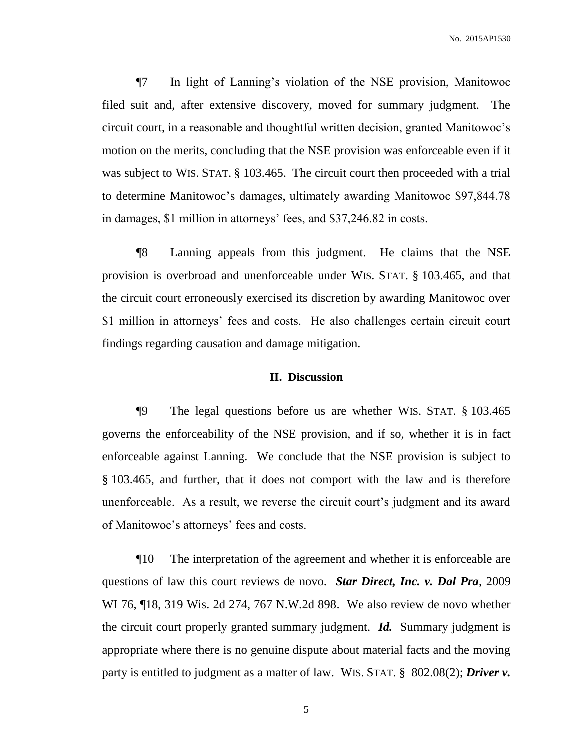¶7 In light of Lanning's violation of the NSE provision, Manitowoc filed suit and, after extensive discovery, moved for summary judgment. The circuit court, in a reasonable and thoughtful written decision, granted Manitowoc's motion on the merits, concluding that the NSE provision was enforceable even if it was subject to WIS. STAT. § 103.465. The circuit court then proceeded with a trial to determine Manitowoc's damages, ultimately awarding Manitowoc \$97,844.78 in damages, \$1 million in attorneys' fees, and \$37,246.82 in costs.

¶8 Lanning appeals from this judgment. He claims that the NSE provision is overbroad and unenforceable under WIS. STAT. § 103.465, and that the circuit court erroneously exercised its discretion by awarding Manitowoc over \$1 million in attorneys' fees and costs. He also challenges certain circuit court findings regarding causation and damage mitigation.

### **II. Discussion**

¶9 The legal questions before us are whether WIS. STAT. § 103.465 governs the enforceability of the NSE provision, and if so, whether it is in fact enforceable against Lanning. We conclude that the NSE provision is subject to § 103.465, and further, that it does not comport with the law and is therefore unenforceable. As a result, we reverse the circuit court's judgment and its award of Manitowoc's attorneys' fees and costs.

¶10 The interpretation of the agreement and whether it is enforceable are questions of law this court reviews de novo. *Star Direct, Inc. v. Dal Pra*, 2009 WI 76, ¶18, 319 Wis. 2d 274, 767 N.W.2d 898. We also review de novo whether the circuit court properly granted summary judgment. *Id.* Summary judgment is appropriate where there is no genuine dispute about material facts and the moving party is entitled to judgment as a matter of law. WIS. STAT. § 802.08(2); *Driver v.*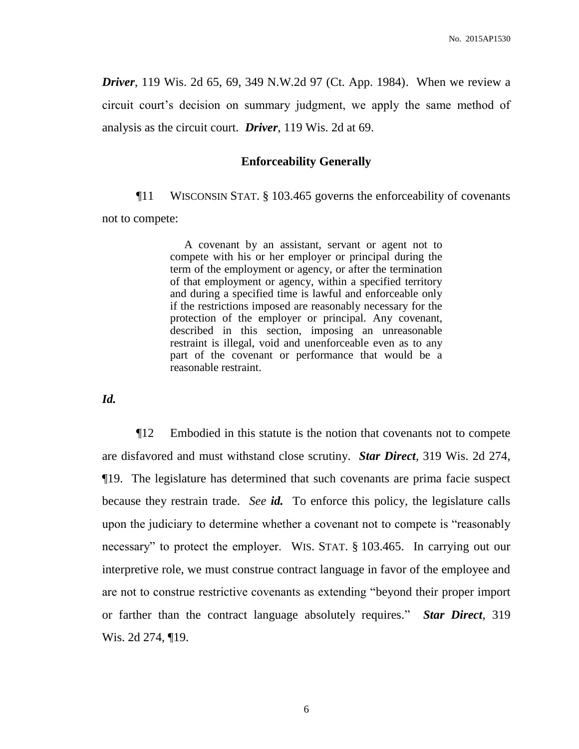*Driver*, 119 Wis. 2d 65, 69, 349 N.W.2d 97 (Ct. App. 1984). When we review a circuit court's decision on summary judgment, we apply the same method of analysis as the circuit court. *Driver*, 119 Wis. 2d at 69.

#### **Enforceability Generally**

¶11 WISCONSIN STAT. § 103.465 governs the enforceability of covenants not to compete:

> A covenant by an assistant, servant or agent not to compete with his or her employer or principal during the term of the employment or agency, or after the termination of that employment or agency, within a specified territory and during a specified time is lawful and enforceable only if the restrictions imposed are reasonably necessary for the protection of the employer or principal. Any covenant, described in this section, imposing an unreasonable restraint is illegal, void and unenforceable even as to any part of the covenant or performance that would be a reasonable restraint.

*Id.*

¶12 Embodied in this statute is the notion that covenants not to compete are disfavored and must withstand close scrutiny. *Star Direct*, 319 Wis. 2d 274, ¶19. The legislature has determined that such covenants are prima facie suspect because they restrain trade. *See id.* To enforce this policy, the legislature calls upon the judiciary to determine whether a covenant not to compete is "reasonably necessary" to protect the employer. WIS. STAT. § 103.465. In carrying out our interpretive role, we must construe contract language in favor of the employee and are not to construe restrictive covenants as extending "beyond their proper import or farther than the contract language absolutely requires." *Star Direct*, 319 Wis. 2d 274, ¶19.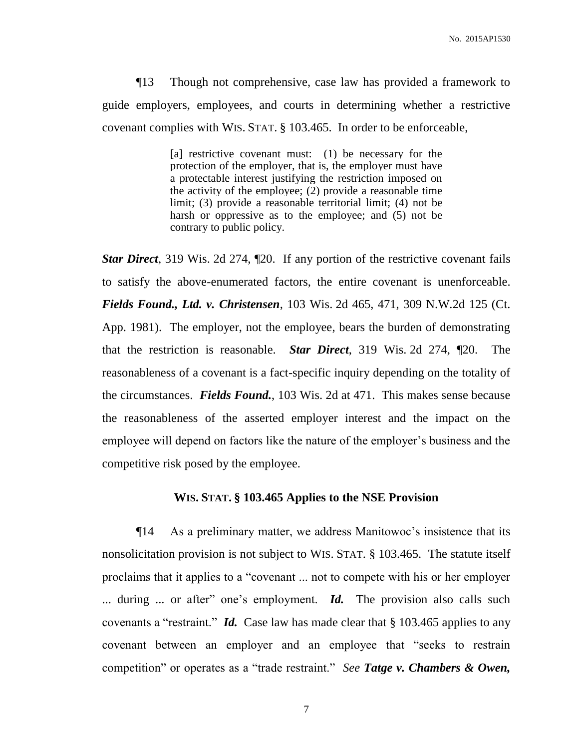¶13 Though not comprehensive, case law has provided a framework to guide employers, employees, and courts in determining whether a restrictive covenant complies with WIS. STAT. § 103.465. In order to be enforceable,

> [a] restrictive covenant must: (1) be necessary for the protection of the employer, that is, the employer must have a protectable interest justifying the restriction imposed on the activity of the employee; (2) provide a reasonable time limit; (3) provide a reasonable territorial limit; (4) not be harsh or oppressive as to the employee; and (5) not be contrary to public policy.

*Star Direct*, 319 Wis. 2d 274,  $\mathbb{Z}$ 0. If any portion of the restrictive covenant fails to satisfy the above-enumerated factors, the entire covenant is unenforceable. *Fields Found., Ltd. v. Christensen*, 103 Wis. 2d 465, 471, 309 N.W.2d 125 (Ct. App. 1981). The employer, not the employee, bears the burden of demonstrating that the restriction is reasonable. *Star Direct*, 319 Wis. 2d 274, ¶20.The reasonableness of a covenant is a fact-specific inquiry depending on the totality of the circumstances. *Fields Found.*, 103 Wis. 2d at 471. This makes sense because the reasonableness of the asserted employer interest and the impact on the employee will depend on factors like the nature of the employer's business and the competitive risk posed by the employee.

#### **WIS. STAT. § 103.465 Applies to the NSE Provision**

¶14 As a preliminary matter, we address Manitowoc's insistence that its nonsolicitation provision is not subject to WIS. STAT. § 103.465. The statute itself proclaims that it applies to a "covenant ... not to compete with his or her employer ... during ... or after" one's employment. *Id.* The provision also calls such covenants a "restraint." *Id.* Case law has made clear that § 103.465 applies to any covenant between an employer and an employee that "seeks to restrain competition" or operates as a "trade restraint." *See Tatge v. Chambers & Owen,*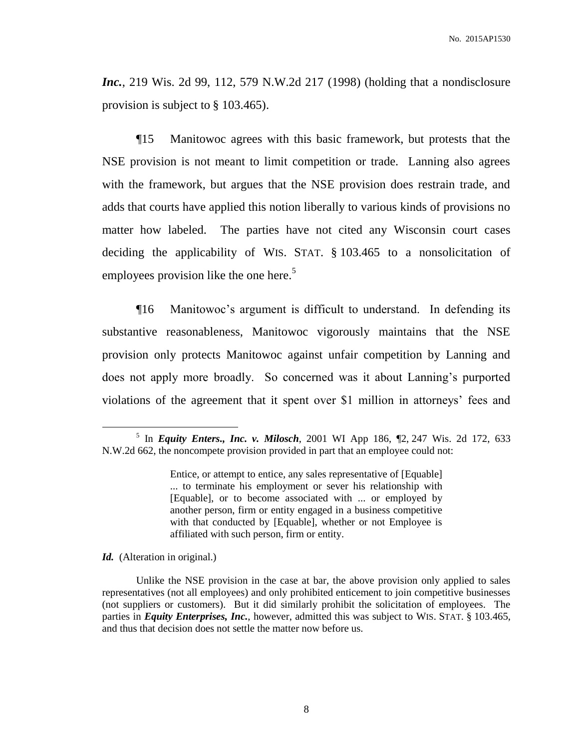*Inc.*, 219 Wis. 2d 99, 112, 579 N.W.2d 217 (1998) (holding that a nondisclosure provision is subject to § 103.465).

¶15 Manitowoc agrees with this basic framework, but protests that the NSE provision is not meant to limit competition or trade. Lanning also agrees with the framework, but argues that the NSE provision does restrain trade, and adds that courts have applied this notion liberally to various kinds of provisions no matter how labeled. The parties have not cited any Wisconsin court cases deciding the applicability of WIS. STAT. § 103.465 to a nonsolicitation of employees provision like the one here.<sup>5</sup>

¶16 Manitowoc's argument is difficult to understand. In defending its substantive reasonableness, Manitowoc vigorously maintains that the NSE provision only protects Manitowoc against unfair competition by Lanning and does not apply more broadly. So concerned was it about Lanning's purported violations of the agreement that it spent over \$1 million in attorneys' fees and

*Id.* (Alteration in original.)

<sup>5</sup> In *Equity Enters., Inc. v. Milosch*, 2001 WI App 186, ¶2, 247 Wis. 2d 172, 633 N.W.2d 662, the noncompete provision provided in part that an employee could not:

Entice, or attempt to entice, any sales representative of [Equable] ... to terminate his employment or sever his relationship with [Equable], or to become associated with ... or employed by another person, firm or entity engaged in a business competitive with that conducted by [Equable], whether or not Employee is affiliated with such person, firm or entity.

Unlike the NSE provision in the case at bar, the above provision only applied to sales representatives (not all employees) and only prohibited enticement to join competitive businesses (not suppliers or customers). But it did similarly prohibit the solicitation of employees. The parties in *Equity Enterprises, Inc.*, however, admitted this was subject to WIS. STAT. § 103.465, and thus that decision does not settle the matter now before us.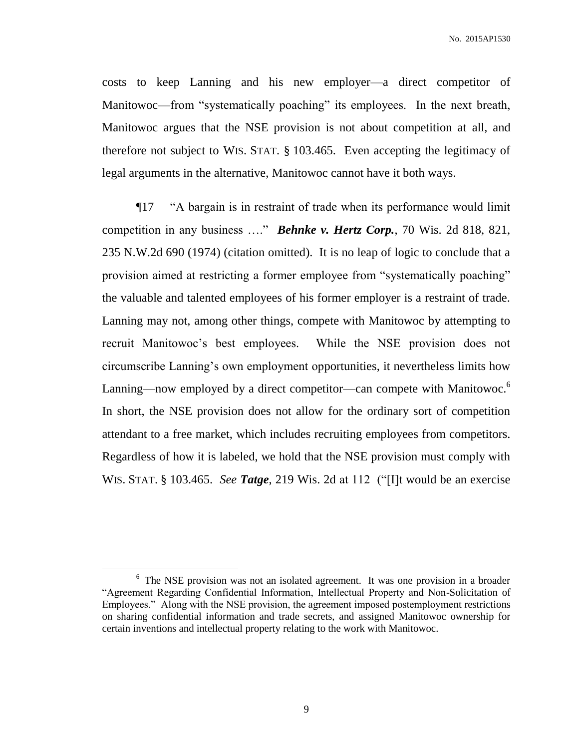costs to keep Lanning and his new employer—a direct competitor of Manitowoc—from "systematically poaching" its employees. In the next breath, Manitowoc argues that the NSE provision is not about competition at all, and therefore not subject to WIS. STAT. § 103.465. Even accepting the legitimacy of legal arguments in the alternative, Manitowoc cannot have it both ways.

¶17 "A bargain is in restraint of trade when its performance would limit competition in any business …." *Behnke v. Hertz Corp.*, 70 Wis. 2d 818, 821, 235 N.W.2d 690 (1974) (citation omitted). It is no leap of logic to conclude that a provision aimed at restricting a former employee from "systematically poaching" the valuable and talented employees of his former employer is a restraint of trade. Lanning may not, among other things, compete with Manitowoc by attempting to recruit Manitowoc's best employees. While the NSE provision does not circumscribe Lanning's own employment opportunities, it nevertheless limits how Lanning—now employed by a direct competitor—can compete with Manitowoc.<sup>6</sup> In short, the NSE provision does not allow for the ordinary sort of competition attendant to a free market, which includes recruiting employees from competitors. Regardless of how it is labeled, we hold that the NSE provision must comply with WIS. STAT. § 103.465. *See Tatge*, 219 Wis. 2d at 112 ("[I]t would be an exercise

 $\overline{a}$ 

<sup>&</sup>lt;sup>6</sup> The NSE provision was not an isolated agreement. It was one provision in a broader "Agreement Regarding Confidential Information, Intellectual Property and Non-Solicitation of Employees." Along with the NSE provision, the agreement imposed postemployment restrictions on sharing confidential information and trade secrets, and assigned Manitowoc ownership for certain inventions and intellectual property relating to the work with Manitowoc.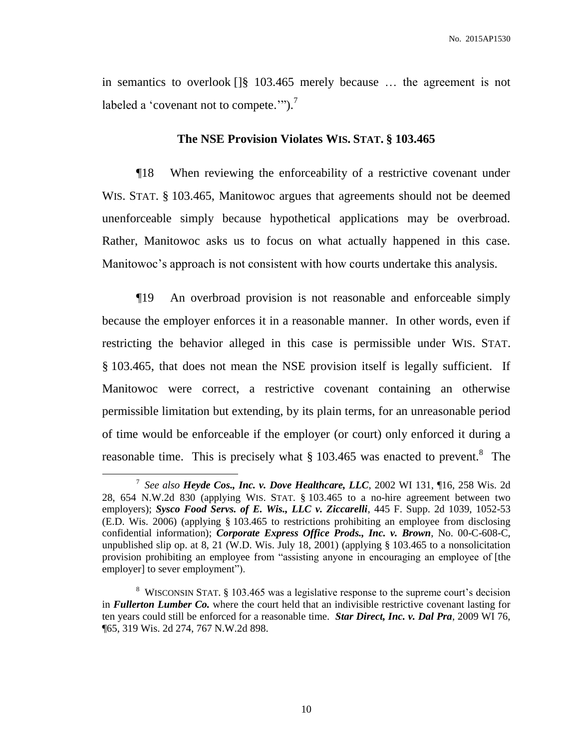in semantics to overlook []§ 103.465 merely because … the agreement is not labeled a 'covenant not to compete.'").<sup>7</sup>

### **The NSE Provision Violates WIS. STAT. § 103.465**

¶18 When reviewing the enforceability of a restrictive covenant under WIS. STAT. § 103.465, Manitowoc argues that agreements should not be deemed unenforceable simply because hypothetical applications may be overbroad. Rather, Manitowoc asks us to focus on what actually happened in this case. Manitowoc's approach is not consistent with how courts undertake this analysis.

¶19 An overbroad provision is not reasonable and enforceable simply because the employer enforces it in a reasonable manner. In other words, even if restricting the behavior alleged in this case is permissible under WIS. STAT. § 103.465, that does not mean the NSE provision itself is legally sufficient. If Manitowoc were correct, a restrictive covenant containing an otherwise permissible limitation but extending, by its plain terms, for an unreasonable period of time would be enforceable if the employer (or court) only enforced it during a reasonable time. This is precisely what  $\S 103.465$  was enacted to prevent.<sup>8</sup> The

<sup>7</sup> *See also Heyde Cos., Inc. v. Dove Healthcare, LLC*, 2002 WI 131, ¶16, 258 Wis. 2d 28, 654 N.W.2d 830 (applying WIS. STAT. § 103.465 to a no-hire agreement between two employers); *Sysco Food Servs. of E. Wis., LLC v. Ziccarelli*, 445 F. Supp. 2d 1039, 1052-53 (E.D. Wis. 2006) (applying § 103.465 to restrictions prohibiting an employee from disclosing confidential information); *Corporate Express Office Prods., Inc. v. Brown*, No. 00-C-608-C, unpublished slip op. at 8, 21 (W.D. Wis. July 18, 2001) (applying § 103.465 to a nonsolicitation provision prohibiting an employee from "assisting anyone in encouraging an employee of [the employer] to sever employment").

<sup>&</sup>lt;sup>8</sup> WISCONSIN STAT. § 103.465 was a legislative response to the supreme court's decision in *Fullerton Lumber Co.* where the court held that an indivisible restrictive covenant lasting for ten years could still be enforced for a reasonable time. *Star Direct, Inc. v. Dal Pra*, 2009 WI 76, ¶65, 319 Wis. 2d 274, 767 N.W.2d 898.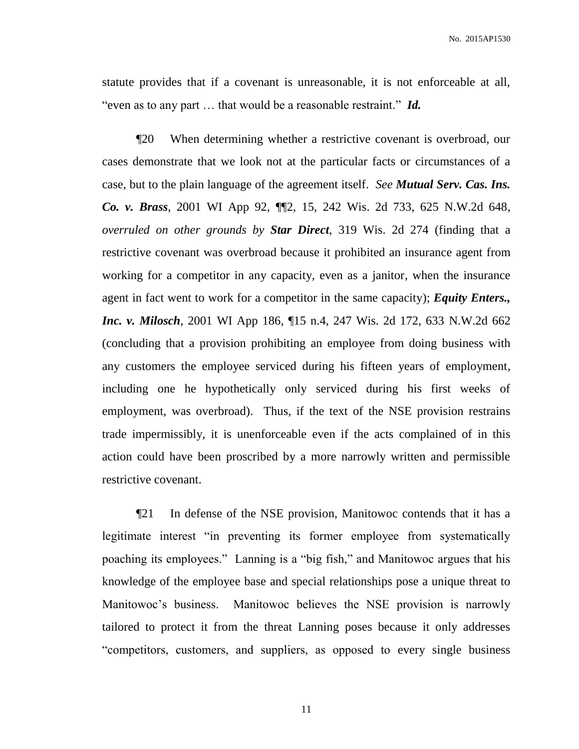statute provides that if a covenant is unreasonable, it is not enforceable at all, "even as to any part … that would be a reasonable restraint." *Id.*

¶20 When determining whether a restrictive covenant is overbroad, our cases demonstrate that we look not at the particular facts or circumstances of a case, but to the plain language of the agreement itself. *See Mutual Serv. Cas. Ins. Co. v. Brass*, 2001 WI App 92, ¶¶2, 15, 242 Wis. 2d 733, 625 N.W.2d 648, *overruled on other grounds by Star Direct*, 319 Wis. 2d 274 (finding that a restrictive covenant was overbroad because it prohibited an insurance agent from working for a competitor in any capacity, even as a janitor, when the insurance agent in fact went to work for a competitor in the same capacity); *Equity Enters., Inc. v. Milosch*, 2001 WI App 186, ¶15 n.4, 247 Wis. 2d 172, 633 N.W.2d 662 (concluding that a provision prohibiting an employee from doing business with any customers the employee serviced during his fifteen years of employment, including one he hypothetically only serviced during his first weeks of employment, was overbroad). Thus, if the text of the NSE provision restrains trade impermissibly, it is unenforceable even if the acts complained of in this action could have been proscribed by a more narrowly written and permissible restrictive covenant.

¶21 In defense of the NSE provision, Manitowoc contends that it has a legitimate interest "in preventing its former employee from systematically poaching its employees." Lanning is a "big fish," and Manitowoc argues that his knowledge of the employee base and special relationships pose a unique threat to Manitowoc's business. Manitowoc believes the NSE provision is narrowly tailored to protect it from the threat Lanning poses because it only addresses "competitors, customers, and suppliers, as opposed to every single business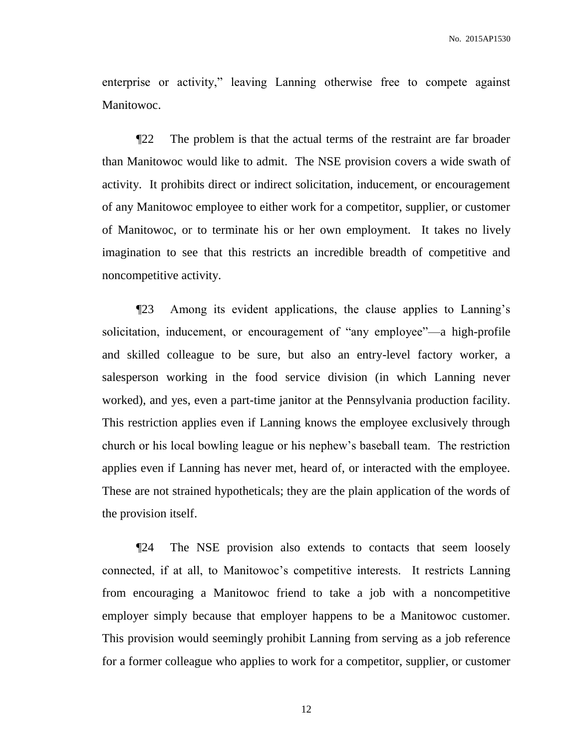enterprise or activity," leaving Lanning otherwise free to compete against Manitowoc.

¶22 The problem is that the actual terms of the restraint are far broader than Manitowoc would like to admit. The NSE provision covers a wide swath of activity. It prohibits direct or indirect solicitation, inducement, or encouragement of any Manitowoc employee to either work for a competitor, supplier, or customer of Manitowoc, or to terminate his or her own employment. It takes no lively imagination to see that this restricts an incredible breadth of competitive and noncompetitive activity.

¶23 Among its evident applications, the clause applies to Lanning's solicitation, inducement, or encouragement of "any employee"—a high-profile and skilled colleague to be sure, but also an entry-level factory worker, a salesperson working in the food service division (in which Lanning never worked), and yes, even a part-time janitor at the Pennsylvania production facility. This restriction applies even if Lanning knows the employee exclusively through church or his local bowling league or his nephew's baseball team. The restriction applies even if Lanning has never met, heard of, or interacted with the employee. These are not strained hypotheticals; they are the plain application of the words of the provision itself.

¶24 The NSE provision also extends to contacts that seem loosely connected, if at all, to Manitowoc's competitive interests. It restricts Lanning from encouraging a Manitowoc friend to take a job with a noncompetitive employer simply because that employer happens to be a Manitowoc customer. This provision would seemingly prohibit Lanning from serving as a job reference for a former colleague who applies to work for a competitor, supplier, or customer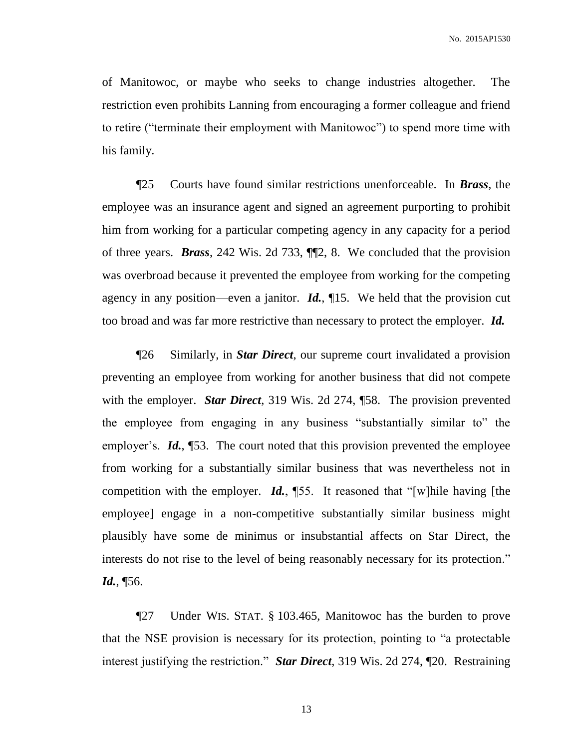of Manitowoc, or maybe who seeks to change industries altogether. The restriction even prohibits Lanning from encouraging a former colleague and friend to retire ("terminate their employment with Manitowoc") to spend more time with his family.

¶25 Courts have found similar restrictions unenforceable. In *Brass*, the employee was an insurance agent and signed an agreement purporting to prohibit him from working for a particular competing agency in any capacity for a period of three years. *Brass*, 242 Wis. 2d 733, ¶¶2, 8. We concluded that the provision was overbroad because it prevented the employee from working for the competing agency in any position—even a janitor. *Id.*, ¶15. We held that the provision cut too broad and was far more restrictive than necessary to protect the employer. *Id.*

¶26 Similarly, in *Star Direct*, our supreme court invalidated a provision preventing an employee from working for another business that did not compete with the employer. *Star Direct*, 319 Wis. 2d 274, ¶58. The provision prevented the employee from engaging in any business "substantially similar to" the employer's. *Id.*, **[53.** The court noted that this provision prevented the employee from working for a substantially similar business that was nevertheless not in competition with the employer. *Id.*, ¶55. It reasoned that "[w]hile having [the employee] engage in a non-competitive substantially similar business might plausibly have some de minimus or insubstantial affects on Star Direct, the interests do not rise to the level of being reasonably necessary for its protection." *Id.*, ¶56.

¶27 Under WIS. STAT. § 103.465, Manitowoc has the burden to prove that the NSE provision is necessary for its protection, pointing to "a protectable interest justifying the restriction." *Star Direct*, 319 Wis. 2d 274, ¶20. Restraining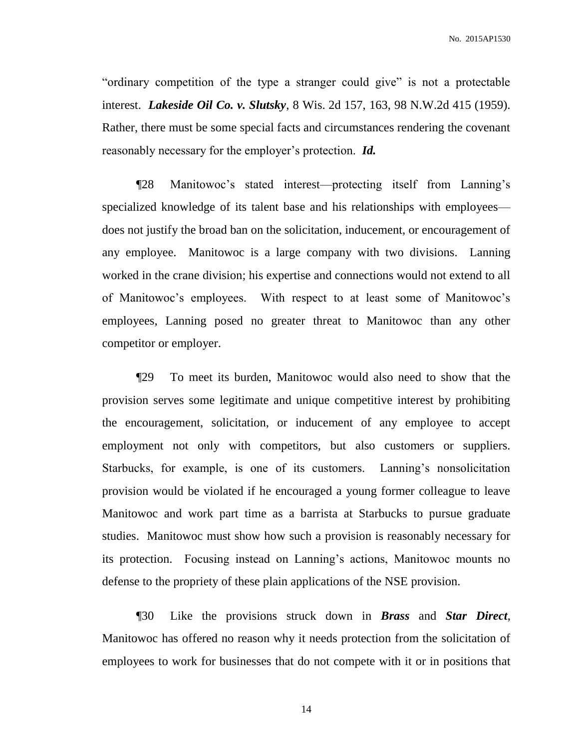"ordinary competition of the type a stranger could give" is not a protectable interest. *Lakeside Oil Co. v. Slutsky*, 8 Wis. 2d 157, 163, 98 N.W.2d 415 (1959). Rather, there must be some special facts and circumstances rendering the covenant reasonably necessary for the employer's protection. *Id.*

¶28 Manitowoc's stated interest—protecting itself from Lanning's specialized knowledge of its talent base and his relationships with employees does not justify the broad ban on the solicitation, inducement, or encouragement of any employee. Manitowoc is a large company with two divisions. Lanning worked in the crane division; his expertise and connections would not extend to all of Manitowoc's employees. With respect to at least some of Manitowoc's employees, Lanning posed no greater threat to Manitowoc than any other competitor or employer.

¶29 To meet its burden, Manitowoc would also need to show that the provision serves some legitimate and unique competitive interest by prohibiting the encouragement, solicitation, or inducement of any employee to accept employment not only with competitors, but also customers or suppliers. Starbucks, for example, is one of its customers. Lanning's nonsolicitation provision would be violated if he encouraged a young former colleague to leave Manitowoc and work part time as a barrista at Starbucks to pursue graduate studies. Manitowoc must show how such a provision is reasonably necessary for its protection. Focusing instead on Lanning's actions, Manitowoc mounts no defense to the propriety of these plain applications of the NSE provision.

¶30 Like the provisions struck down in *Brass* and *Star Direct*, Manitowoc has offered no reason why it needs protection from the solicitation of employees to work for businesses that do not compete with it or in positions that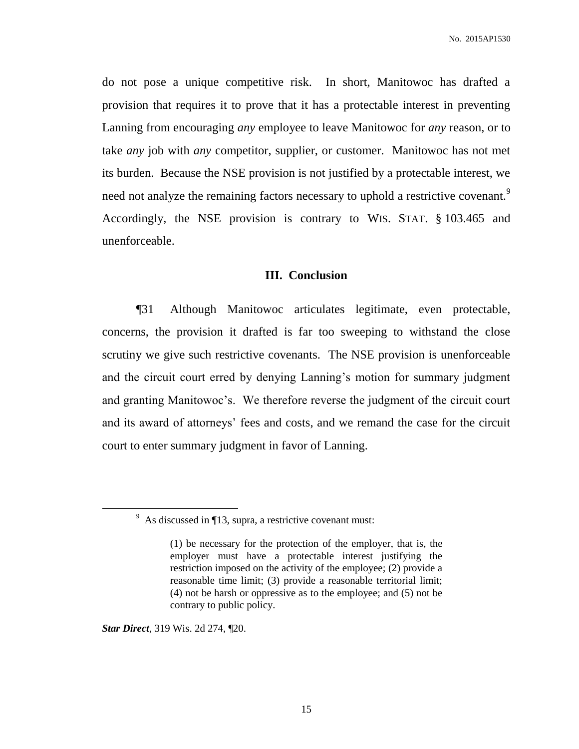do not pose a unique competitive risk. In short, Manitowoc has drafted a provision that requires it to prove that it has a protectable interest in preventing Lanning from encouraging *any* employee to leave Manitowoc for *any* reason, or to take *any* job with *any* competitor, supplier, or customer. Manitowoc has not met its burden. Because the NSE provision is not justified by a protectable interest, we need not analyze the remaining factors necessary to uphold a restrictive covenant.<sup>9</sup> Accordingly, the NSE provision is contrary to WIS. STAT. § 103.465 and unenforceable.

## **III. Conclusion**

¶31 Although Manitowoc articulates legitimate, even protectable, concerns, the provision it drafted is far too sweeping to withstand the close scrutiny we give such restrictive covenants. The NSE provision is unenforceable and the circuit court erred by denying Lanning's motion for summary judgment and granting Manitowoc's. We therefore reverse the judgment of the circuit court and its award of attorneys' fees and costs, and we remand the case for the circuit court to enter summary judgment in favor of Lanning.

*Star Direct*, 319 Wis. 2d 274, ¶20.

 $9\text{ As discussed in }$  13, supra, a restrictive covenant must:

<sup>(1)</sup> be necessary for the protection of the employer, that is, the employer must have a protectable interest justifying the restriction imposed on the activity of the employee; (2) provide a reasonable time limit; (3) provide a reasonable territorial limit; (4) not be harsh or oppressive as to the employee; and (5) not be contrary to public policy.